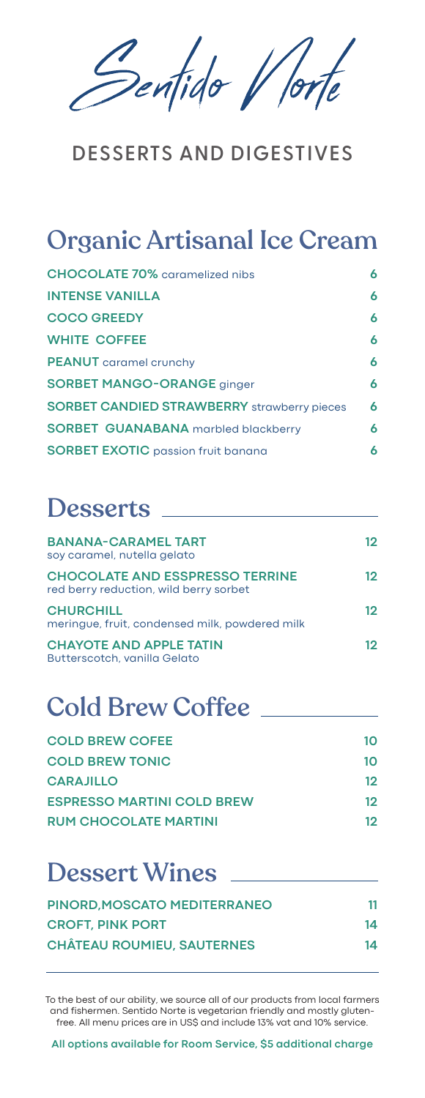Pentido V/or

#### **DESSERTS AND DIGESTIVES**

## Organic Artisanal Ice Cream

| <b>CHOCOLATE 70%</b> caramelized nibs              | 6 |
|----------------------------------------------------|---|
| <b>INTENSE VANILLA</b>                             | 6 |
| <b>COCO GREEDY</b>                                 | 6 |
| <b>WHITE COFFEE</b>                                | 6 |
| <b>PEANUT</b> caramel crunchy                      | 6 |
| <b>SORBET MANGO-ORANGE ginger</b>                  | 6 |
| <b>SORBET CANDIED STRAWBERRY</b> strawberry pieces | 6 |
| <b>SORBET GUANABANA</b> marbled blackberry         | 6 |
| <b>SORBET EXOTIC</b> passion fruit banana          | 6 |

#### **Desserts**

| <b>BANANA-CARAMEL TART</b><br>soy caramel, nutella gelato                        | 12 |
|----------------------------------------------------------------------------------|----|
| <b>CHOCOLATE AND ESSPRESSO TERRINE</b><br>red berry reduction, wild berry sorbet | 12 |
| <b>CHURCHILL</b><br>meringue, fruit, condensed milk, powdered milk               | 12 |
| <b>CHAYOTE AND APPLE TATIN</b><br>Butterscotch, vanilla Gelato                   | 12 |

### Cold Brew Coffee

| <b>COLD BREW COFEE</b>            | 10 |
|-----------------------------------|----|
| <b>COLD BREW TONIC</b>            | 10 |
| <b>CARAJILLO</b>                  | 12 |
| <b>ESPRESSO MARTINI COLD BREW</b> | 12 |
| <b>RUM CHOCOLATE MARTINI</b>      | 12 |

#### Dessert Wines

| PINORD. MOSCATO MEDITERRANEO      | 11 |  |
|-----------------------------------|----|--|
| <b>CROFT, PINK PORT</b>           | 14 |  |
| <b>CHÂTEAU ROUMIEU, SAUTERNES</b> | 14 |  |

To the best of our ability, we source all of our products from local farmers and fishermen. Sentido Norte is vegetarian friendly and mostly glutenfree. All menu prices are in US\$ and include 13% vat and 10% service.

**All options available for Room Service, \$5 additional charge**